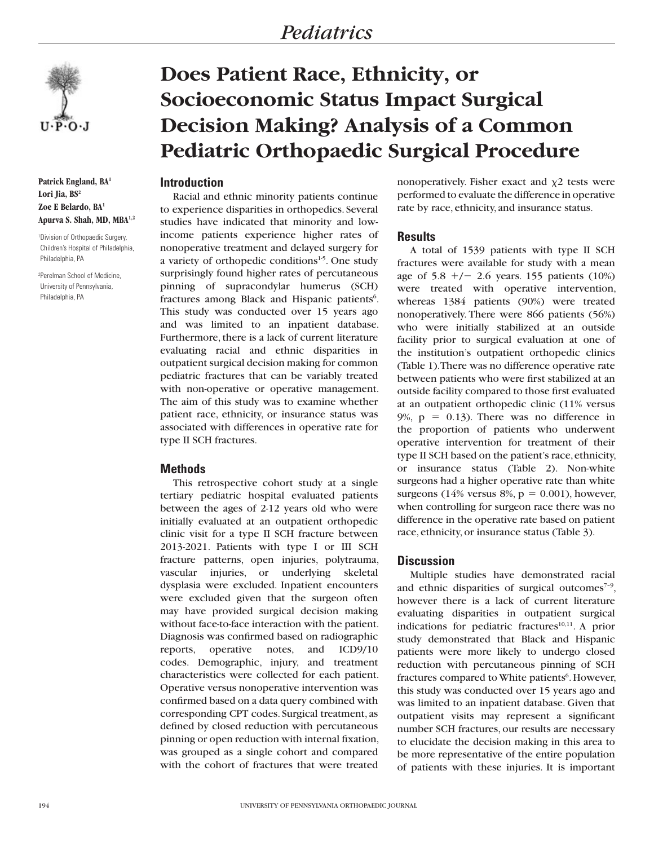# *Pediatrics*



**Patrick England, BA1 Lori Jia, BS2 Zoe E Belardo, BA1 Apurva S. Shah, MD, MBA1,2**

1 Division of Orthopaedic Surgery, Children's Hospital of Philadelphia, Philadelphia, PA

2 Perelman School of Medicine, University of Pennsylvania, Philadelphia, PA

# **Does Patient Race, Ethnicity, or Socioeconomic Status Impact Surgical Decision Making? Analysis of a Common Pediatric Orthopaedic Surgical Procedure**

# **Introduction**

Racial and ethnic minority patients continue to experience disparities in orthopedics. Several studies have indicated that minority and lowincome patients experience higher rates of nonoperative treatment and delayed surgery for a variety of orthopedic conditions $1-5$ . One study surprisingly found higher rates of percutaneous pinning of supracondylar humerus (SCH) fractures among Black and Hispanic patients<sup>6</sup>. This study was conducted over 15 years ago and was limited to an inpatient database. Furthermore, there is a lack of current literature evaluating racial and ethnic disparities in outpatient surgical decision making for common pediatric fractures that can be variably treated with non-operative or operative management. The aim of this study was to examine whether patient race, ethnicity, or insurance status was associated with differences in operative rate for type II SCH fractures.

# **Methods**

This retrospective cohort study at a single tertiary pediatric hospital evaluated patients between the ages of 2-12 years old who were initially evaluated at an outpatient orthopedic clinic visit for a type II SCH fracture between 2013-2021. Patients with type I or III SCH fracture patterns, open injuries, polytrauma, vascular injuries, or underlying skeletal dysplasia were excluded. Inpatient encounters were excluded given that the surgeon often may have provided surgical decision making without face-to-face interaction with the patient. Diagnosis was confirmed based on radiographic reports, operative notes, and ICD9/10 codes. Demographic, injury, and treatment characteristics were collected for each patient. Operative versus nonoperative intervention was confirmed based on a data query combined with corresponding CPT codes. Surgical treatment, as defined by closed reduction with percutaneous pinning or open reduction with internal fixation, was grouped as a single cohort and compared with the cohort of fractures that were treated

nonoperatively. Fisher exact and  $\chi$ 2 tests were performed to evaluate the difference in operative rate by race, ethnicity, and insurance status.

#### **Results**

A total of 1539 patients with type II SCH fractures were available for study with a mean age of  $5.8 +/- 2.6$  years. 155 patients (10%) were treated with operative intervention, whereas 1384 patients (90%) were treated nonoperatively. There were 866 patients (56%) who were initially stabilized at an outside facility prior to surgical evaluation at one of the institution's outpatient orthopedic clinics (Table 1). There was no difference operative rate between patients who were first stabilized at an outside facility compared to those first evaluated at an outpatient orthopedic clinic (11% versus 9%,  $p = 0.13$ ). There was no difference in the proportion of patients who underwent operative intervention for treatment of their type II SCH based on the patient's race, ethnicity, or insurance status (Table 2). Non-white surgeons had a higher operative rate than white surgeons (14% versus 8%,  $p = 0.001$ ), however, when controlling for surgeon race there was no difference in the operative rate based on patient race, ethnicity, or insurance status (Table 3).

### **Discussion**

Multiple studies have demonstrated racial and ethnic disparities of surgical outcomes $7-9$ , however there is a lack of current literature evaluating disparities in outpatient surgical indications for pediatric fractures $10,11$ . A prior study demonstrated that Black and Hispanic patients were more likely to undergo closed reduction with percutaneous pinning of SCH fractures compared to White patients<sup>6</sup>. However, this study was conducted over 15 years ago and was limited to an inpatient database. Given that outpatient visits may represent a significant number SCH fractures, our results are necessary to elucidate the decision making in this area to be more representative of the entire population of patients with these injuries. It is important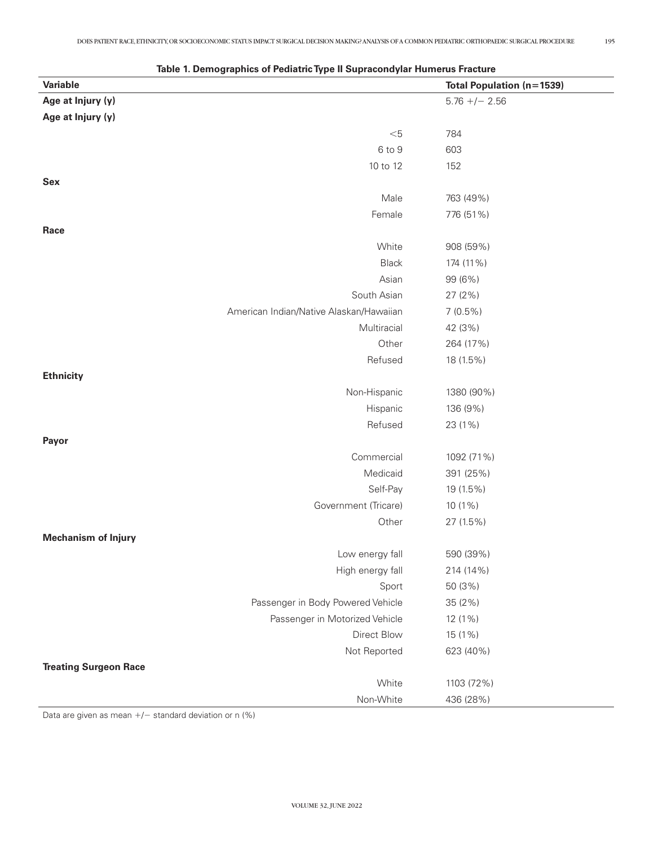| <b>Variable</b>                         | apinos or i calatilo typo il capitatolia jiai fiamolas Fiattart | <b>Total Population (n=1539)</b> |
|-----------------------------------------|-----------------------------------------------------------------|----------------------------------|
| Age at Injury (y)                       |                                                                 | $5.76 + / - 2.56$                |
| Age at Injury (y)                       |                                                                 |                                  |
|                                         | $< \! 5$                                                        | 784                              |
|                                         | 6 to 9                                                          | 603                              |
|                                         | 10 to 12                                                        | 152                              |
| Sex                                     |                                                                 |                                  |
|                                         | Male                                                            | 763 (49%)                        |
|                                         | Female                                                          | 776 (51%)                        |
| Race                                    |                                                                 |                                  |
|                                         | White                                                           | 908 (59%)                        |
|                                         | <b>Black</b>                                                    | 174 (11%)                        |
|                                         | Asian                                                           | 99 (6%)                          |
|                                         | South Asian                                                     | 27 (2%)                          |
| American Indian/Native Alaskan/Hawaiian |                                                                 | $7(0.5\%)$                       |
|                                         | Multiracial                                                     | 42 (3%)                          |
|                                         | Other                                                           | 264 (17%)                        |
|                                         | Refused                                                         | 18 (1.5%)                        |
| <b>Ethnicity</b>                        |                                                                 |                                  |
|                                         | Non-Hispanic                                                    | 1380 (90%)                       |
|                                         | Hispanic                                                        | 136 (9%)                         |
|                                         | Refused                                                         | 23 (1%)                          |
| Payor                                   |                                                                 |                                  |
|                                         | Commercial                                                      | 1092 (71%)                       |
|                                         | Medicaid                                                        | 391 (25%)                        |
|                                         | Self-Pay                                                        | 19 (1.5%)                        |
|                                         | Government (Tricare)                                            | 10 (1%)                          |
|                                         | Other                                                           | 27 (1.5%)                        |
| <b>Mechanism of Injury</b>              |                                                                 |                                  |
|                                         | Low energy fall                                                 | 590 (39%)                        |
|                                         | High energy fall                                                | 214 (14%)                        |
|                                         | Sport                                                           | 50 (3%)                          |
|                                         | Passenger in Body Powered Vehicle                               | 35 (2%)                          |
|                                         | Passenger in Motorized Vehicle                                  | 12 (1%)                          |
|                                         | Direct Blow                                                     | 15 (1%)                          |
|                                         | Not Reported                                                    | 623 (40%)                        |
| <b>Treating Surgeon Race</b>            |                                                                 |                                  |
|                                         | White                                                           | 1103 (72%)                       |
|                                         | Non-White                                                       | 436 (28%)                        |

#### **Table 1. Demographics of Pediatric Type II Supracondylar Humerus Fracture**

Data are given as mean  $+/-$  standard deviation or n (%)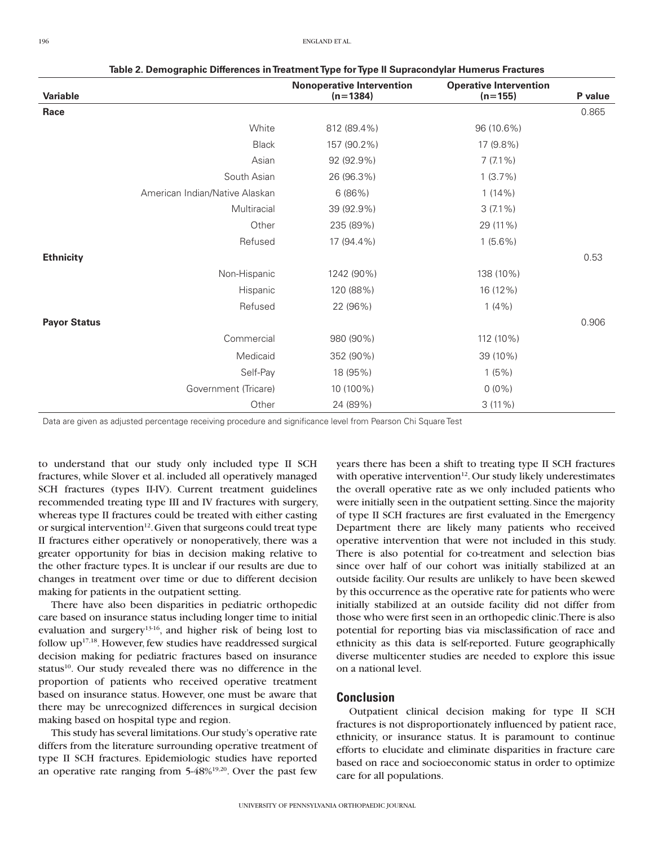|                     |                                | <b>Nonoperative Intervention</b> | <b>Operative Intervention</b> |         |
|---------------------|--------------------------------|----------------------------------|-------------------------------|---------|
| <b>Variable</b>     |                                | $(n=1384)$                       | $(n=155)$                     | P value |
| Race                |                                |                                  |                               | 0.865   |
|                     | White                          | 812 (89.4%)                      | 96 (10.6%)                    |         |
|                     | <b>Black</b>                   | 157 (90.2%)                      | 17 (9.8%)                     |         |
|                     | Asian                          | 92 (92.9%)                       | $7(7.1\%)$                    |         |
|                     | South Asian                    | 26 (96.3%)                       | $1(3.7\%)$                    |         |
|                     | American Indian/Native Alaskan | 6(86%)                           | $1(14\%)$                     |         |
|                     | Multiracial                    | 39 (92.9%)                       | $3(7.1\%)$                    |         |
|                     | Other                          | 235 (89%)                        | 29 (11%)                      |         |
|                     | Refused                        | 17 (94.4%)                       | $1(5.6\%)$                    |         |
| <b>Ethnicity</b>    |                                |                                  |                               | 0.53    |
|                     | Non-Hispanic                   | 1242 (90%)                       | 138 (10%)                     |         |
|                     | Hispanic                       | 120 (88%)                        | 16 (12%)                      |         |
|                     | Refused                        | 22 (96%)                         | $1(4\%)$                      |         |
| <b>Payor Status</b> |                                |                                  |                               | 0.906   |
|                     | Commercial                     | 980 (90%)                        | 112 (10%)                     |         |
|                     | Medicaid                       | 352 (90%)                        | 39 (10%)                      |         |
|                     | Self-Pay                       | 18 (95%)                         | 1(5%)                         |         |
|                     | Government (Tricare)           | 10 (100%)                        | $0(0\%)$                      |         |
|                     | Other                          | 24 (89%)                         | $3(11\%)$                     |         |

**Table 2. Demographic Differences in Treatment Type for Type II Supracondylar Humerus Fractures**

Data are given as adjusted percentage receiving procedure and significance level from Pearson Chi Square Test

to understand that our study only included type II SCH fractures, while Slover et al. included all operatively managed SCH fractures (types II-IV). Current treatment guidelines recommended treating type III and IV fractures with surgery, whereas type II fractures could be treated with either casting or surgical intervention<sup>12</sup>. Given that surgeons could treat type II fractures either operatively or nonoperatively, there was a greater opportunity for bias in decision making relative to the other fracture types. It is unclear if our results are due to changes in treatment over time or due to different decision making for patients in the outpatient setting.

There have also been disparities in pediatric orthopedic care based on insurance status including longer time to initial evaluation and surgery<sup>13-16</sup>, and higher risk of being lost to follow up17,18. However, few studies have readdressed surgical decision making for pediatric fractures based on insurance status<sup>10</sup>. Our study revealed there was no difference in the proportion of patients who received operative treatment based on insurance status. However, one must be aware that there may be unrecognized differences in surgical decision making based on hospital type and region.

This study has several limitations. Our study's operative rate differs from the literature surrounding operative treatment of type II SCH fractures. Epidemiologic studies have reported an operative rate ranging from 5-48%19,20. Over the past few

years there has been a shift to treating type II SCH fractures with operative intervention<sup>12</sup>. Our study likely underestimates the overall operative rate as we only included patients who were initially seen in the outpatient setting. Since the majority of type II SCH fractures are first evaluated in the Emergency Department there are likely many patients who received operative intervention that were not included in this study. There is also potential for co-treatment and selection bias since over half of our cohort was initially stabilized at an outside facility. Our results are unlikely to have been skewed by this occurrence as the operative rate for patients who were initially stabilized at an outside facility did not differ from those who were first seen in an orthopedic clinic. There is also potential for reporting bias via misclassification of race and ethnicity as this data is self-reported. Future geographically diverse multicenter studies are needed to explore this issue on a national level.

#### **Conclusion**

Outpatient clinical decision making for type II SCH fractures is not disproportionately influenced by patient race, ethnicity, or insurance status. It is paramount to continue efforts to elucidate and eliminate disparities in fracture care based on race and socioeconomic status in order to optimize care for all populations.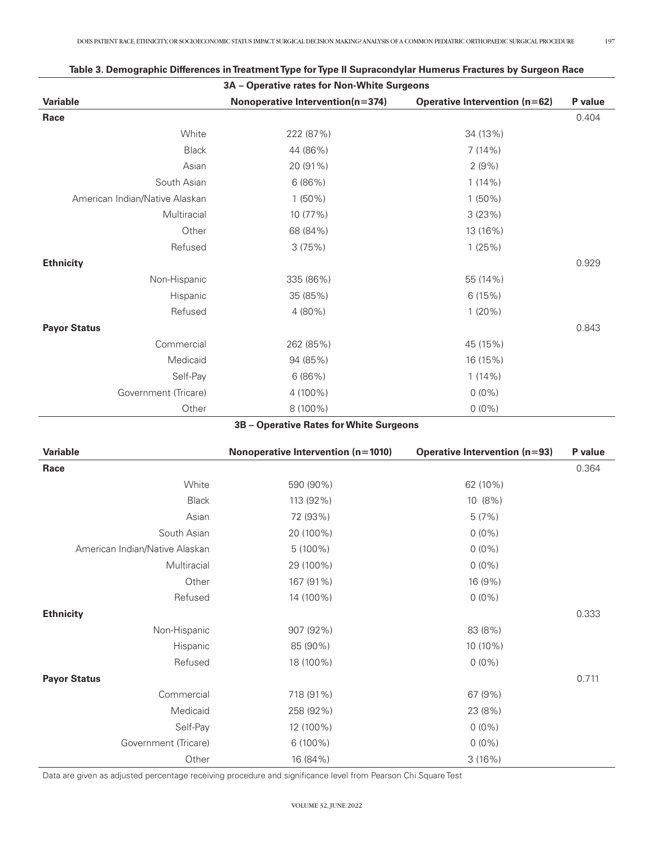| 3A - Operative rates for Non-White Surgeons |                                  |                                      |         |  |  |
|---------------------------------------------|----------------------------------|--------------------------------------|---------|--|--|
| <b>Variable</b>                             | Nonoperative Intervention(n=374) | <b>Operative Intervention (n=62)</b> | P value |  |  |
| Race                                        |                                  |                                      | 0.404   |  |  |
| White                                       | 222 (87%)                        | 34 (13%)                             |         |  |  |
| Black                                       | 44 (86%)                         | 7(14%)                               |         |  |  |
| Asian                                       | 20 (91%)                         | 2(9%)                                |         |  |  |
| South Asian                                 | 6(86%)                           | $1(14\%)$                            |         |  |  |
| American Indian/Native Alaskan              | $1(50\%)$                        | $1(50\%)$                            |         |  |  |
| Multiracial                                 | 10 (77%)                         | 3(23%)                               |         |  |  |
| Other                                       | 68 (84%)                         | 13 (16%)                             |         |  |  |
| Refused                                     | 3(75%)                           | 1(25%)                               |         |  |  |
| <b>Ethnicity</b>                            |                                  |                                      | 0.929   |  |  |
| Non-Hispanic                                | 335 (86%)                        | 55 (14%)                             |         |  |  |
| Hispanic                                    | 35 (85%)                         | 6(15%)                               |         |  |  |
| Refused                                     | 4 (80%)                          | $1(20\%)$                            |         |  |  |
| <b>Payor Status</b>                         |                                  |                                      | 0.843   |  |  |
| Commercial                                  | 262 (85%)                        | 45 (15%)                             |         |  |  |
| Medicaid                                    | 94 (85%)                         | 16 (15%)                             |         |  |  |
| Self-Pay                                    | 6(86%)                           | $1(14\%)$                            |         |  |  |
| Government (Tricare)                        | 4 (100%)                         | $0(0\%)$                             |         |  |  |
| Other                                       | 8 (100%)                         | $0(0\%)$                             |         |  |  |

# **Table 3. Demographic Differences in Treatment Type for Type II Supracondylar Humerus Fractures by Surgeon Race**

# **3B – Operative Rates for White Surgeons**

| <b>Variable</b>                | Nonoperative Intervention (n=1010) | <b>Operative Intervention (n=93)</b> | P value |
|--------------------------------|------------------------------------|--------------------------------------|---------|
| Race                           |                                    |                                      | 0.364   |
| White                          | 590 (90%)                          | 62 (10%)                             |         |
| Black                          | 113 (92%)                          | 10 (8%)                              |         |
| Asian                          | 72 (93%)                           | 5(7%)                                |         |
| South Asian                    | 20 (100%)                          | $0(0\%)$                             |         |
| American Indian/Native Alaskan | $5(100\%)$                         | $0(0\%)$                             |         |
| Multiracial                    | 29 (100%)                          | $0(0\%)$                             |         |
| Other                          | 167 (91%)                          | 16 (9%)                              |         |
| Refused                        | 14 (100%)                          | $0(0\%)$                             |         |
| <b>Ethnicity</b>               |                                    |                                      | 0.333   |
| Non-Hispanic                   | 907 (92%)                          | 83 (8%)                              |         |
| Hispanic                       | 85 (90%)                           | 10 (10%)                             |         |
| Refused                        | 18 (100%)                          | $0(0\%)$                             |         |
| <b>Payor Status</b>            |                                    |                                      | 0.711   |
| Commercial                     | 718 (91%)                          | 67 (9%)                              |         |
| Medicaid                       | 258 (92%)                          | 23 (8%)                              |         |
| Self-Pay                       | 12 (100%)                          | $0(0\%)$                             |         |
| Government (Tricare)           | $6(100\%)$                         | $0(0\%)$                             |         |
| Other                          | 16 (84%)                           | 3(16%)                               |         |

Data are given as adjusted percentage receiving procedure and significance level from Pearson Chi Square Test